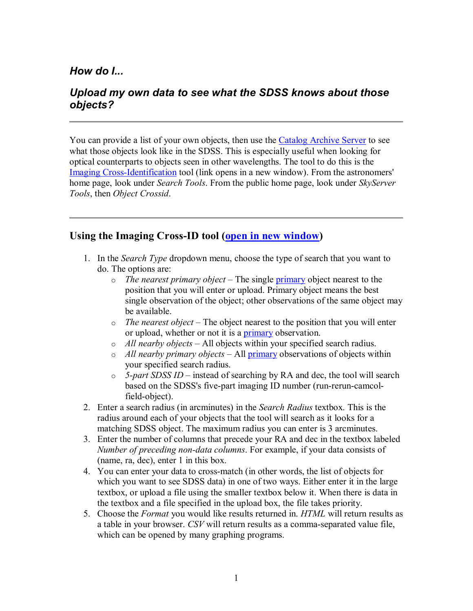## *How do I...*

## *Upload my own data to see what the SDSS knows about those objects?*

You can provide a list of your own objects, then use the Catalog Archive Server to see what those objects look like in the SDSS. This is especially useful when looking for optical counterparts to objects seen in other wavelengths. The tool to do this is the Imaging Cross-Identification tool (link opens in a new window). From the astronomers' home page, look under *Search Tools*. From the public home page, look under *SkyServer Tools*, then *Object Crossid*.

## **Using the Imaging CrossID tool (open in new window)**

- 1. In the *Search Type* dropdown menu, choose the type of search that you want to do. The options are:
	- o *The nearest primary object* The single primary object nearest to the position that you will enter or upload. Primary object means the best single observation of the object; other observations of the same object may be available.
	- o *The nearest object* The object nearest to the position that you will enter or upload, whether or not it is a primary observation.
	- o *All nearby objects* All objects within your specified search radius.
	- o *All nearby primary objects* All primary observations of objects within your specified search radius.
	- o *5part SDSS ID* instead of searching by RA and dec, the tool will search based on the SDSS's five-part imaging ID number (run-rerun-camcolfield-object).
- 2. Enter a search radius (in arcminutes) in the *Search Radius* textbox. This is the radius around each of your objects that the tool will search as it looks for a matching SDSS object. The maximum radius you can enter is 3 arcminutes.
- 3. Enter the number of columns that precede your RA and dec in the textbox labeled *Number of preceding non-data columns.* For example, if your data consists of (name, ra, dec), enter 1 in this box.
- 4. You can enter your data to cross-match (in other words, the list of objects for which you want to see SDSS data) in one of two ways. Either enter it in the large textbox, or upload a file using the smaller textbox below it. When there is data in the textbox and a file specified in the upload box, the file takes priority.
- 5. Choose the *Format* you would like results returned in. *HTML* will return results as a table in your browser. *CSV* will return results as a comma-separated value file, which can be opened by many graphing programs.